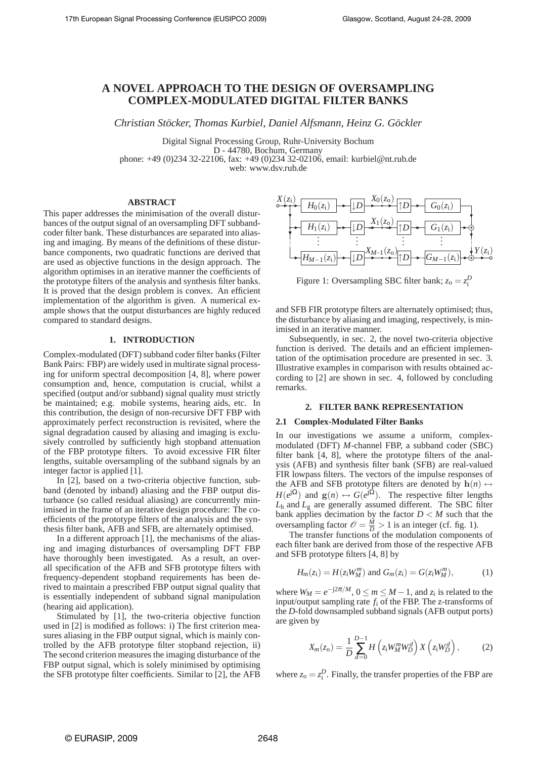# **A NOVEL APPROACH TO THE DESIGN OF OVERSAMPLING COMPLEX-MODULATED DIGITAL FILTER BANKS**

*Christian Stöcker, Thomas Kurbiel, Daniel Alfsmann, Heinz G. Göckler*

Digital Signal Processing Group, Ruhr-University Bochum D - 44780, Bochum, Germany phone: +49 (0)234 32-22106, fax: +49 (0)234 32-02106, email: kurbiel@nt.rub.de web: www.dsv.rub.de

## **ABSTRACT**

This paper addresses the minimisation of the overall disturbances of the output signal of an oversampling DFT subbandcoder filter bank. These disturbances are separated into aliasing and imaging. By means of the definitions of these disturbance components, two quadratic functions are derived that are used as objective functions in the design approach. The algorithm optimises in an iterative manner the coefficients of the prototype filters of the analysis and synthesis filter banks. It is proved that the design problem is convex. An efficient implementation of the algorithm is given. A numerical example shows that the output disturbances are highly reduced compared to standard designs.

## **1. INTRODUCTION**

Complex-modulated (DFT) subband coder filter banks (Filter Bank Pairs: FBP) are widely used in multirate signal processing for uniform spectral decomposition [4, 8], where power consumption and, hence, computation is crucial, whilst a specified (output and/or subband) signal quality must strictly be maintained; e.g. mobile systems, hearing aids, etc. In this contribution, the design of non-recursive DFT FBP with approximately perfect reconstruction is revisited, where the signal degradation caused by aliasing and imaging is exclusively controlled by sufficiently high stopband attenuation of the FBP prototype filters. To avoid excessive FIR filter lengths, suitable oversampling of the subband signals by an integer factor is applied [1].

In [2], based on a two-criteria objective function, subband (denoted by inband) aliasing and the FBP output disturbance (so called residual aliasing) are concurrently minimised in the frame of an iterative design procedure: The coefficients of the prototype filters of the analysis and the synthesis filter bank, AFB and SFB, are alternately optimised.

In a different approach [1], the mechanisms of the aliasing and imaging disturbances of oversampling DFT FBP have thoroughly been investigated. As a result, an overall specification of the AFB and SFB prototype filters with frequency-dependent stopband requirements has been derived to maintain a prescribed FBP output signal quality that is essentially independent of subband signal manipulation (hearing aid application).

Stimulated by [1], the two-criteria objective function used in [2] is modified as follows: i) The first criterion measures aliasing in the FBP output signal, which is mainly controlled by the AFB prototype filter stopband rejection, ii) The second criterion measures the imaging disturbance of the FBP output signal, which is solely minimised by optimising the SFB prototype filter coefficients. Similar to [2], the AFB



Figure 1: Oversampling SBC filter bank;  $z_0 = z_1^D$ 

and SFB FIR prototype filters are alternately optimised; thus, the disturbance by aliasing and imaging, respectively, is minimised in an iterative manner.

Subsequently, in sec. 2, the novel two-criteria objective function is derived. The details and an efficient implementation of the optimisation procedure are presented in sec. 3. Illustrative examples in comparison with results obtained according to [2] are shown in sec. 4, followed by concluding remarks.

## **2. FILTER BANK REPRESENTATION**

## **2.1 Complex-Modulated Filter Banks**

In our investigations we assume a uniform, complexmodulated (DFT) *M*-channel FBP, a subband coder (SBC) filter bank [4, 8], where the prototype filters of the analysis (AFB) and synthesis filter bank (SFB) are real-valued FIR lowpass filters. The vectors of the impulse responses of the AFB and SFB prototype filters are denoted by  $h(n) \leftrightarrow$  $H(e^{j\Omega})$  and  $g(n) \leftrightarrow G(e^{j\Omega})$ . The respective filter lengths *L*<sup>h</sup> and *L*<sup>g</sup> are generally assumed different. The SBC filter bank applies decimation by the factor  $D < M$  such that the oversampling factor  $\mathcal{O} = \frac{M}{D} > 1$  is an integer (cf. fig. 1).

The transfer functions of the modulation components of each filter bank are derived from those of the respective AFB and SFB prototype filters [4, 8] by

$$
H_m(z_i) = H(z_i W_M^m) \text{ and } G_m(z_i) = G(z_i W_M^m), \tag{1}
$$

where  $W_M = e^{-j2\pi/M}$ ,  $0 \le m \le M - 1$ , and  $z_i$  is related to the input/output sampling rate *f*<sup>i</sup> of the FBP. The z-transforms of the *D*-fold downsampled subband signals (AFB output ports) are given by

$$
X_m(z_0) = \frac{1}{D} \sum_{d=0}^{D-1} H\left(z_1 W_M^m W_D^d\right) X\left(z_1 W_D^d\right),\tag{2}
$$

where  $z_0 = z_i^D$ . Finally, the transfer properties of the FBP are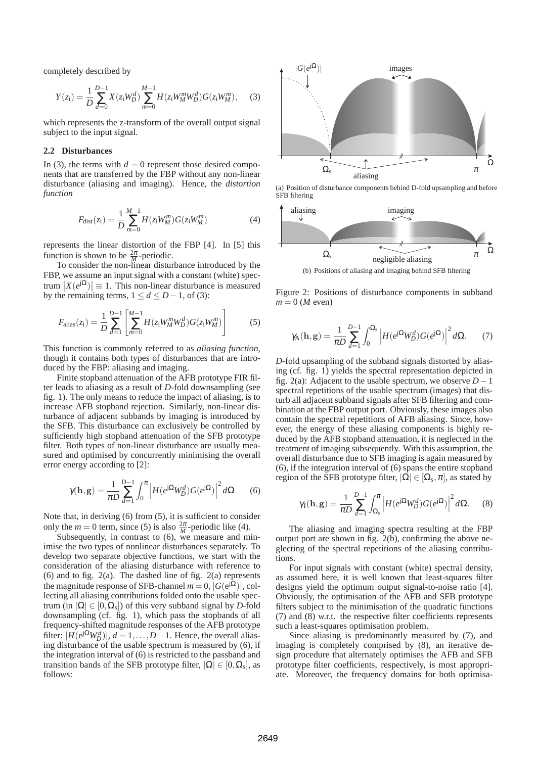completely described by

$$
Y(z_i) = \frac{1}{D} \sum_{d=0}^{D-1} X(z_i W_D^d) \sum_{m=0}^{M-1} H(z_i W_M^m W_D^d) G(z_i W_M^m), \quad (3)
$$

which represents the z-transform of the overall output signal subject to the input signal.

## **2.2 Disturbances**

In (3), the terms with  $d = 0$  represent those desired components that are transferred by the FBP without any non-linear disturbance (aliasing and imaging). Hence, the *distortion function*

$$
F_{\text{dist}}(z_i) = \frac{1}{D} \sum_{m=0}^{M-1} H(z_i W_M^m) G(z_i W_M^m)
$$
(4)

represents the linear distortion of the FBP [4]. In [5] this function is shown to be  $\frac{2\pi}{M}$ -periodic.

To consider the non-linear disturbance introduced by the FBP, we assume an input signal with a constant (white) spectrum  $|X(e^{j\Omega})| \equiv 1$ . This non-linear disturbance is measured by the remaining terms,  $1 \le d \le D-1$ , of (3):

$$
F_{\text{alias}}(z_i) = \frac{1}{D} \sum_{d=1}^{D-1} \left[ \sum_{m=0}^{M-1} H(z_i W_M^m W_D^d) G(z_i W_M^m) \right] \tag{5}
$$

This function is commonly referred to as *aliasing function*, though it contains both types of disturbances that are introduced by the FBP: aliasing and imaging.

Finite stopband attenuation of the AFB prototype FIR filter leads to aliasing as a result of *D*-fold downsampling (see fig. 1). The only means to reduce the impact of aliasing, is to increase AFB stopband rejection. Similarly, non-linear disturbance of adjacent subbands by imaging is introduced by the SFB. This disturbance can exclusively be controlled by sufficiently high stopband attenuation of the SFB prototype filter. Both types of non-linear disturbance are usually measured and optimised by concurrently minimising the overall error energy according to [2]:

$$
\gamma(\mathbf{h}, \mathbf{g}) = \frac{1}{\pi D} \sum_{d=1}^{D-1} \int_0^{\pi} \left| H(e^{j\Omega} W_D^d) G(e^{j\Omega}) \right|^2 d\Omega \tag{6}
$$

Note that, in deriving (6) from (5), it is sufficient to consider only the  $m = 0$  term, since (5) is also  $\frac{2\pi}{M}$ -periodic like (4).

Subsequently, in contrast to  $(6)$ , we measure and minimise the two types of nonlinear disturbances separately. To develop two separate objective functions, we start with the consideration of the aliasing disturbance with reference to (6) and to fig. 2(a). The dashed line of fig. 2(a) represents the magnitude response of SFB-channel  $m = 0$ ,  $|G(e^{j\Omega})|$ , collecting all aliasing contributions folded onto the usable spectrum (in  $|\Omega| \in [0, \Omega_s]$ ) of this very subband signal by *D*-fold downsampling (cf. fig. 1), which pass the stopbands of all frequency-shifted magnitude responses of the AFB prototype filter:  $|H(e^{j\Omega}W_D^d)|$ ,  $d = 1,...,D-1$ . Hence, the overall aliasing disturbance of the usable spectrum is measured by (6), if the integration interval of (6) is restricted to the passband and transition bands of the SFB prototype filter,  $|\Omega| \in [0, \Omega_s]$ , as follows:



(a) Position of disturbance components behind D-fold upsampling and before SFB filtering



(b) Positions of aliasing and imaging behind SFB filtering

Figure 2: Positions of disturbance components in subband  $m = 0$  (*M* even)

$$
\gamma_{\mathcal{A}}(\mathbf{h}, \mathbf{g}) = \frac{1}{\pi D} \sum_{d=1}^{D-1} \int_0^{\Omega_{\mathcal{S}}} \left| H(e^{j\Omega} W_D^d) G(e^{j\Omega}) \right|^2 d\Omega. \tag{7}
$$

*D*-fold upsampling of the subband signals distorted by aliasing (cf. fig. 1) yields the spectral representation depicted in fig. 2(a): Adjacent to the usable spectrum, we observe *D*−1 spectral repetitions of the usable spectrum (images) that disturb all adjacent subband signals after SFB filtering and combination at the FBP output port. Obviously, these images also contain the spectral repetitions of AFB aliasing. Since, however, the energy of these aliasing components is highly reduced by the AFB stopband attenuation, it is neglected in the treatment of imaging subsequently. With this assumption, the overall disturbance due to SFB imaging is again measured by (6), if the integration interval of (6) spans the entire stopband region of the SFB prototype filter,  $|\Omega| \in [\Omega_{\mathrm{s}}, \pi]$ , as stated by

$$
\gamma_{\rm I}(\mathbf{h}, \mathbf{g}) = \frac{1}{\pi D} \sum_{d=1}^{D-1} \int_{\Omega_{\rm s}}^{\pi} \left| H(e^{\mathrm{j}\Omega} W_D^d) G(e^{\mathrm{j}\Omega}) \right|^2 d\Omega. \tag{8}
$$

The aliasing and imaging spectra resulting at the FBP output port are shown in fig.  $2(b)$ , confirming the above neglecting of the spectral repetitions of the aliasing contributions.

For input signals with constant (white) spectral density, as assumed here, it is well known that least-squares filter designs yield the optimum output signal-to-noise ratio [4]. Obviously, the optimisation of the AFB and SFB prototype filters subject to the minimisation of the quadratic functions (7) and (8) w.r.t. the respective filter coefficients represents such a least-squares optimisation problem.

Since aliasing is predominantly measured by (7), and imaging is completely comprised by (8), an iterative design procedure that alternately optimises the AFB and SFB prototype filter coefficients, respectively, is most appropriate. Moreover, the frequency domains for both optimisa-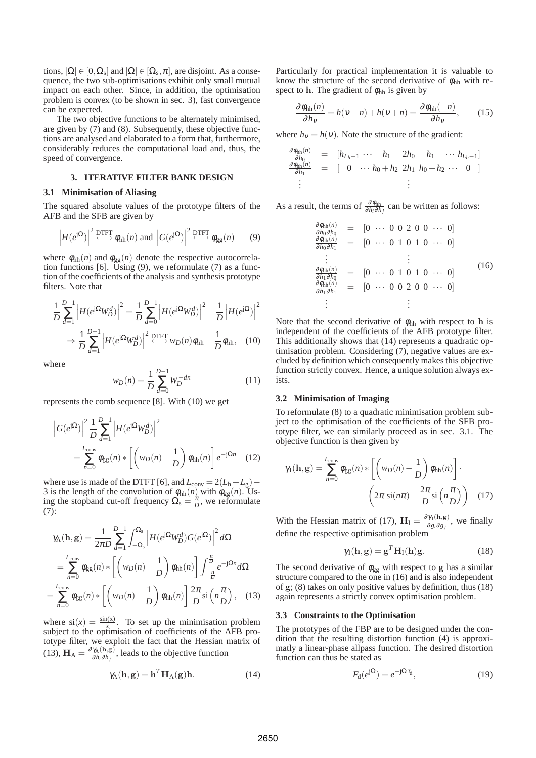tions,  $|\Omega| \in [0, \Omega_s]$  and  $|\Omega| \in [\Omega_s, \pi]$ , are disjoint. As a consequence, the two sub-optimisations exhibit only small mutual impact on each other. Since, in addition, the optimisation problem is convex (to be shown in sec. 3), fast convergence can be expected.

The two objective functions to be alternately minimised, are given by (7) and (8). Subsequently, these objective functions are analysed and elaborated to a form that, furthermore, considerably reduces the computational load and, thus, the speed of convergence.

## **3. ITERATIVE FILTER BANK DESIGN**

#### **3.1 Minimisation of Aliasing**

The squared absolute values of the prototype filters of the AFB and the SFB are given by

$$
\left| H(e^{j\Omega}) \right|^2 \stackrel{\text{DTFT}}{\longleftrightarrow} \phi_{hh}(n) \text{ and } \left| G(e^{j\Omega}) \right|^2 \stackrel{\text{DTFT}}{\longleftrightarrow} \phi_{gg}(n) \tag{9}
$$

where  $\phi_{hh}(n)$  and  $\phi_{gg}(n)$  denote the respective autocorrelation functions [6]. Using  $(9)$ , we reformulate  $(7)$  as a function of the coefficients of the analysis and synthesis prototype filters. Note that

$$
\frac{1}{D} \sum_{d=1}^{D-1} \left| H(e^{j\Omega} W_D^d) \right|^2 = \frac{1}{D} \sum_{d=0}^{D-1} \left| H(e^{j\Omega} W_D^d) \right|^2 - \frac{1}{D} \left| H(e^{j\Omega}) \right|^2
$$

$$
\Rightarrow \frac{1}{D} \sum_{d=1}^{D-1} \left| H(e^{j\Omega} W_D^d) \right|^2 \stackrel{\text{DTFT}}{\longleftrightarrow} w_D(n) \phi_{hh} - \frac{1}{D} \phi_{hh}, \quad (10)
$$

where

$$
w_D(n) = \frac{1}{D} \sum_{d=0}^{D-1} W_D^{-dn}
$$
 (11)

represents the comb sequence [8]. With (10) we get

$$
\left| G(e^{j\Omega}) \right|^2 \frac{1}{D} \sum_{d=1}^{D-1} \left| H(e^{j\Omega} W_D^d) \right|^2
$$
  
= 
$$
\sum_{n=0}^{L_{\text{conv}}} \phi_{\text{gg}}(n) * \left[ \left( w_D(n) - \frac{1}{D} \right) \phi_{\text{hh}}(n) \right] e^{-j\Omega n}
$$
 (12)

where use is made of the DTFT [6], and  $L_{\text{conv}} = 2(L_h + L_g)$  – 3 is the length of the convolution of  $\phi_{hh}(n)$  with  $\phi_{gg}(n)$ . Using the stopband cut-off frequency  $\Omega_s = \frac{\pi}{D}$ , we reformulate (7):

$$
\gamma_{\mathcal{A}}(\mathbf{h}, \mathbf{g}) = \frac{1}{2\pi D} \sum_{d=1}^{D-1} \int_{-\Omega_{\mathbf{s}}}^{\Omega_{\mathbf{s}}} \left| H(e^{j\Omega}W_D^d)G(e^{j\Omega}) \right|^2 d\Omega
$$
  
\n
$$
= \sum_{n=0}^{L_{\text{conv}}} \phi_{\text{gg}}(n) * \left[ \left( w_D(n) - \frac{1}{D} \right) \phi_{\text{hh}}(n) \right] \int_{-\frac{\pi}{D}}^{\frac{\pi}{D}} e^{-j\Omega n} d\Omega
$$
  
\n
$$
= \sum_{n=0}^{L_{\text{conv}}} \phi_{\text{gg}}(n) * \left[ \left( w_D(n) - \frac{1}{D} \right) \phi_{\text{hh}}(n) \right] \frac{2\pi}{D} \text{si} \left( n \frac{\pi}{D} \right), \quad (13)
$$

where  $si(x) = \frac{sin(x)}{x}$ . To set up the minimisation problem subject to the optimisation of coefficients of the AFB prototype filter, we exploit the fact that the Hessian matrix of (13),  $\mathbf{H}_{\mathrm{A}} = \frac{\partial \gamma_{\mathrm{A}}(\mathbf{h}, \mathbf{g})}{\partial h_i \partial h_i}$  $\frac{\gamma_A(n,g)}{\partial h_i \partial h_j}$ , leads to the objective function

$$
\gamma_{A}(\mathbf{h}, \mathbf{g}) = \mathbf{h}^{T} \mathbf{H}_{A}(\mathbf{g}) \mathbf{h}.
$$
 (14)

Particularly for practical implementation it is valuable to know the structure of the second derivative of  $\phi_{hh}$  with respect to h. The gradient of  $\phi_{hh}$  is given by

$$
\frac{\partial \phi_{\text{hh}}(n)}{\partial h_{\text{v}}} = h(\text{v}-n) + h(\text{v}+n) = \frac{\partial \phi_{\text{hh}}(-n)}{\partial h_{\text{v}}},\qquad(15)
$$

where  $h<sub>v</sub> = h(v)$ . Note the structure of the gradient:

$$
\frac{\partial \phi_{hh}(n)}{\partial h_0} = [h_{L_h-1} \cdots h_1 \quad 2h_0 \quad h_1 \quad \cdots h_{L_h-1}]
$$
  

$$
\frac{\partial \phi_{hh}(n)}{\partial h_1} = [0 \cdots h_0 + h_2 \quad 2h_1 \quad h_0 + h_2 \cdots \quad 0]
$$
  

$$
\vdots \qquad \vdots
$$

As a result, the terms of  $\frac{\partial \phi_{hh}}{\partial h_i \partial h_j}$  can be written as follows:

$$
\frac{\partial \phi_{hh}(n)}{\partial h_0 \partial h_0} = [0 \cdots 0 0 2 0 0 \cdots 0]
$$
\n
$$
\frac{\partial \phi_{hh}(n)}{\partial h_0 \partial h_1} = [0 \cdots 0 1 0 1 0 \cdots 0]
$$
\n
$$
\vdots \qquad \vdots
$$
\n
$$
\frac{\partial \phi_{hh}(n)}{\partial h_1 \partial h_0} = [0 \cdots 0 1 0 1 0 \cdots 0]
$$
\n
$$
\frac{\partial \phi_{hh}(n)}{\partial h_1 \partial h_1} = [0 \cdots 0 0 2 0 0 \cdots 0]
$$
\n
$$
\vdots \qquad \vdots
$$
\n(16)

Note that the second derivative of  $\phi_{hh}$  with respect to h is independent of the coefficients of the AFB prototype filter. This additionally shows that (14) represents a quadratic optimisation problem. Considering (7), negative values are excluded by definition which consequently makes this objective function strictly convex. Hence, a unique solution always exists.

## **3.2 Minimisation of Imaging**

To reformulate (8) to a quadratic minimisation problem subject to the optimisation of the coefficients of the SFB prototype filter, we can similarly proceed as in sec. 3.1. The objective function is then given by

$$
\gamma_{\rm I}(\mathbf{h}, \mathbf{g}) = \sum_{n=0}^{L_{\rm conv}} \phi_{\rm gg}(n) * \left[ \left( w_D(n) - \frac{1}{D} \right) \phi_{\rm hh}(n) \right] \cdot \left( 2\pi \sin(n\pi) - \frac{2\pi}{D} \sin\left(n\frac{\pi}{D}\right) \right) \tag{17}
$$

With the Hessian matrix of (17),  $H_{I} = \frac{\partial \gamma_{I}(\mathbf{h}, \mathbf{g})}{\partial g_{I} \partial g_{I}}$  $\frac{\partial f_1(n,g)}{\partial g_i \partial g_j}$ , we finally define the respective optimisation problem

$$
\gamma_{I}(\mathbf{h}, \mathbf{g}) = \mathbf{g}^{T} \mathbf{H}_{I}(\mathbf{h}) \mathbf{g}.
$$
 (18)

The second derivative of  $\phi_{gg}$  with respect to g has a similar structure compared to the one in (16) and is also independent of g; (8) takes on only positive values by definition, thus (18) again represents a strictly convex optimisation problem.

## **3.3 Constraints to the Optimisation**

The prototypes of the FBP are to be designed under the condition that the resulting distortion function (4) is approximatly a linear-phase allpass function. The desired distortion function can thus be stated as

$$
F_{\rm d}(e^{j\Omega}) = e^{-j\Omega \tau_{\rm d}},\tag{19}
$$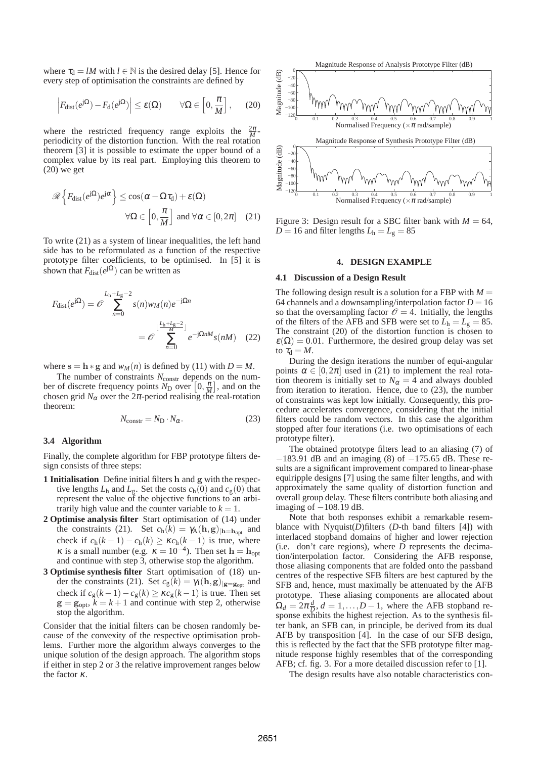where  $\tau_d = lM$  with  $l \in \mathbb{N}$  is the desired delay [5]. Hence for every step of optimisation the constraints are defined by

$$
\left| F_{\text{dist}}(e^{j\Omega}) - F_{\text{d}}(e^{j\Omega}) \right| \le \varepsilon(\Omega) \qquad \forall \Omega \in \left[ 0, \frac{\pi}{M} \right], \quad (20)
$$

where the restricted frequency range exploits the  $\frac{2\pi}{M}$ periodicity of the distortion function. With the real rotation theorem [3] it is possible to estimate the upper bound of a complex value by its real part. Employing this theorem to (20) we get

$$
\mathcal{R}\left\{F_{\text{dist}}(e^{j\Omega})e^{j\alpha}\right\} \le \cos(\alpha - \Omega\tau_{\text{d}}) + \varepsilon(\Omega)
$$
  

$$
\forall \Omega \in \left[0, \frac{\pi}{M}\right] \text{ and } \forall \alpha \in [0, 2\pi] \quad (21)
$$

To write (21) as a system of linear inequalities, the left hand side has to be reformulated as a function of the respective prototype filter coefficients, to be optimised. In [5] it is shown that  $F_{\text{dist}}(e^{j\Omega})$  can be written as

$$
F_{\text{dist}}(e^{j\Omega}) = \mathcal{O} \sum_{n=0}^{L_{\text{h}}+L_{\text{g}}-2} s(n) w_M(n) e^{-j\Omega n}
$$

$$
= \mathcal{O} \sum_{n=0}^{\lfloor \frac{L_{\text{h}}+L_{\text{g}}-2}{M} \rfloor} e^{-j\Omega n M} s(nM) \quad (22)
$$

where  $s = h * g$  and  $w_M(n)$  is defined by (11) with  $D = M$ .

The number of constraints  $N_{\text{constr}}$  depends on the number of discrete frequency points  $N_D$  over  $\left[0, \frac{\pi}{M}\right]$ , and on the chosen grid  $N_\alpha$  over the  $2\pi$ -period realising the real-rotation theorem:

$$
N_{\text{constr}} = N_{\text{D}} \cdot N_{\alpha}.\tag{23}
$$

### **3.4 Algorithm**

Finally, the complete algorithm for FBP prototype filters design consists of three steps:

- **1 Initialisation** Define initial filters h and g with the respective lengths  $L<sub>h</sub>$  and  $L<sub>g</sub>$ . Set the costs  $c<sub>h</sub>(0)$  and  $c<sub>g</sub>(0)$  that represent the value of the objective functions to an arbitrarily high value and the counter variable to  $k = 1$ .
- **2 Optimise analysis filter** Start optimisation of (14) under the constraints (21). Set  $c_h(k) = \gamma_A(h,g)|_{h=h_{opt}}$  and check if  $c_h(k-1) - c_h(k) \ge \kappa c_h(k-1)$  is true, where  $\kappa$  is a small number (e.g.  $\kappa = 10^{-4}$ ). Then set  $\mathbf{h} = \mathbf{h}_{opt}$ and continue with step 3, otherwise stop the algorithm.
- **3 Optimise synthesis filter** Start optimisation of (18) under the constraints (21). Set  $c_g(k) = \gamma_1(\mathbf{h}, \mathbf{g})_{|\mathbf{g}=\mathbf{g}_{\text{opt}}}$  and check if  $c_g(k-1) - c_g(k) \ge \kappa c_g(k-1)$  is true. Then set  $\mathbf{g} = \mathbf{g}_{\text{opt}}$ ,  $\bar{k} = k+1$  and continue with step 2, otherwise stop the algorithm.

Consider that the initial filters can be chosen randomly because of the convexity of the respective optimisation problems. Further more the algorithm always converges to the unique solution of the design approach. The algorithm stops if either in step 2 or 3 the relative improvement ranges below the factor <sup>κ</sup>.



Figure 3: Design result for a SBC filter bank with  $M = 64$ ,  $D = 16$  and filter lengths  $L<sub>h</sub> = L<sub>g</sub> = 85$ 

#### **4. DESIGN EXAMPLE**

#### **4.1 Discussion of a Design Result**

The following design result is a solution for a FBP with  $M =$ 64 channels and a downsampling/interpolation factor  $D = 16$ so that the oversampling factor  $\mathcal{O} = 4$ . Initially, the lengths of the filters of the AFB and SFB were set to  $L_h = L_g = 85$ . The constraint (20) of the distortion function is chosen to  $\varepsilon(\Omega) = 0.01$ . Furthermore, the desired group delay was set to  $\tau_{d} = M$ .

During the design iterations the number of equi-angular points  $\alpha \in [0, 2\pi]$  used in (21) to implement the real rotation theorem is initially set to  $N_\alpha = 4$  and always doubled from iteration to iteration. Hence, due to (23), the number of constraints was kept low initially. Consequently, this procedure accelerates convergence, considering that the initial filters could be random vectors. In this case the algorithm stopped after four iterations (i.e. two optimisations of each prototype filter).

The obtained prototype filters lead to an aliasing (7) of −183.91 dB and an imaging (8) of −175.65 dB. These results are a significant improvement compared to linear-phase equiripple designs [7] using the same filter lengths, and with approximately the same quality of distortion function and overall group delay. These filters contribute both aliasing and imaging of  $-108.19$  dB.

Note that both responses exhibit a remarkable resemblance with Nyquist(*D*)filters (*D*-th band filters [4]) with interlaced stopband domains of higher and lower rejection (i.e. don't care regions), where *D* represents the decimation/interpolation factor. Considering the AFB response, those aliasing components that are folded onto the passband centres of the respective SFB filters are best captured by the SFB and, hence, must maximally be attenuated by the AFB prototype. These aliasing components are allocated about  $\Omega_d = 2\pi \frac{d}{D}$  $\overline{a}$ ,  $d = 1, \ldots, D - 1$ , where the AFB stopband response exhibits the highest rejection. As to the synthesis filter bank, an SFB can, in principle, be derived from its dual AFB by transposition [4]. In the case of our SFB design, this is reflected by the fact that the SFB prototype filter magnitude response highly resembles that of the corresponding AFB; cf. fig. 3. For a more detailed discussion refer to [1].

The design results have also notable characteristics con-